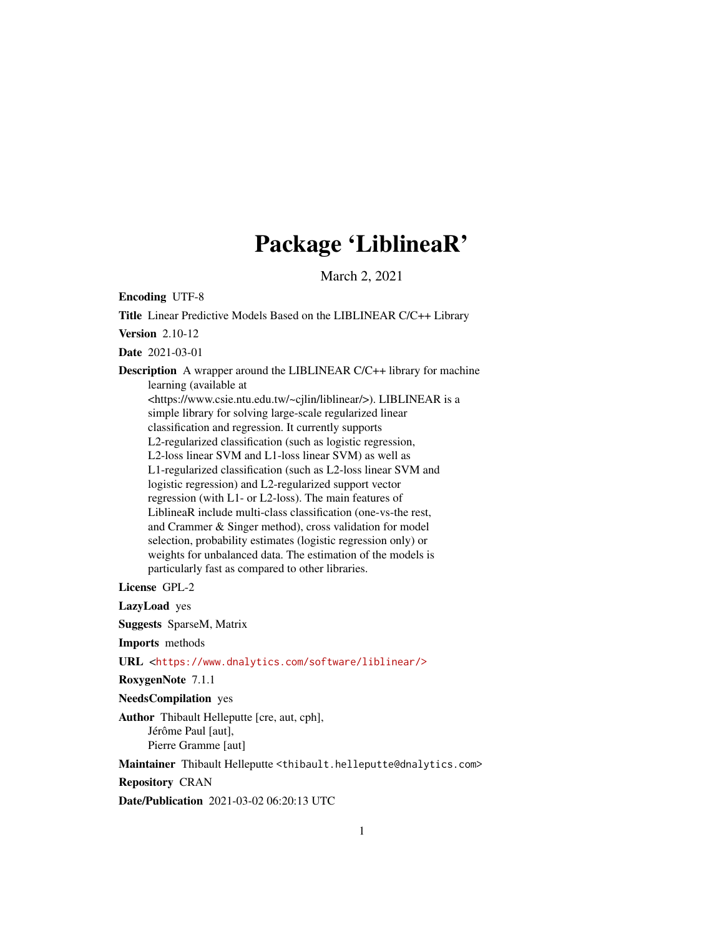# Package 'LiblineaR'

March 2, 2021

Encoding UTF-8

Title Linear Predictive Models Based on the LIBLINEAR C/C++ Library Version 2.10-12 Date 2021-03-01 Description A wrapper around the LIBLINEAR C/C++ library for machine learning (available at <https://www.csie.ntu.edu.tw/~cjlin/liblinear/>). LIBLINEAR is a simple library for solving large-scale regularized linear classification and regression. It currently supports L2-regularized classification (such as logistic regression, L2-loss linear SVM and L1-loss linear SVM) as well as L1-regularized classification (such as L2-loss linear SVM and logistic regression) and L2-regularized support vector regression (with L1- or L2-loss). The main features of LiblineaR include multi-class classification (one-vs-the rest, and Crammer & Singer method), cross validation for model selection, probability estimates (logistic regression only) or weights for unbalanced data. The estimation of the models is particularly fast as compared to other libraries.

License GPL-2

LazyLoad yes

Suggests SparseM, Matrix

Imports methods

URL <<https://www.dnalytics.com/software/liblinear/>>

RoxygenNote 7.1.1

NeedsCompilation yes

Author Thibault Helleputte [cre, aut, cph], Jérôme Paul [aut], Pierre Gramme [aut]

Maintainer Thibault Helleputte <thibault.helleputte@dnalytics.com>

Repository CRAN

Date/Publication 2021-03-02 06:20:13 UTC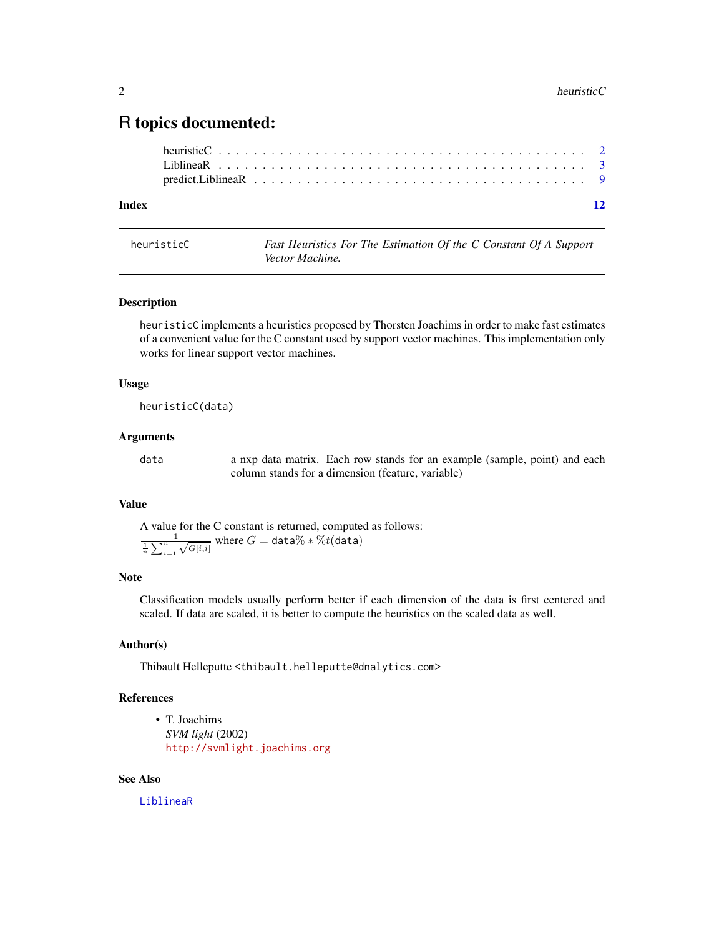# <span id="page-1-0"></span>R topics documented:

#### **Index** [12](#page-11-0)

<span id="page-1-1"></span>

| heuristicC | Fast Heuristics For The Estimation Of the C Constant Of A Support |  |  |
|------------|-------------------------------------------------------------------|--|--|
|            | Vector Machine.                                                   |  |  |

#### Description

heuristicC implements a heuristics proposed by Thorsten Joachims in order to make fast estimates of a convenient value for the C constant used by support vector machines. This implementation only works for linear support vector machines.

#### Usage

heuristicC(data)

#### Arguments

data a nxp data matrix. Each row stands for an example (sample, point) and each column stands for a dimension (feature, variable)

#### Value

A value for the C constant is returned, computed as follows:  $\frac{1}{n} \sum_{i=1}^{n}$  $\sqrt{G[i,i]}$  where  $G = \texttt{data}\% * \%t(\texttt{data})$ 

#### Note

Classification models usually perform better if each dimension of the data is first centered and scaled. If data are scaled, it is better to compute the heuristics on the scaled data as well.

#### Author(s)

Thibault Helleputte <thibault.helleputte@dnalytics.com>

#### References

• T. Joachims *SVM light* (2002) <http://svmlight.joachims.org>

#### See Also

[LiblineaR](#page-2-1)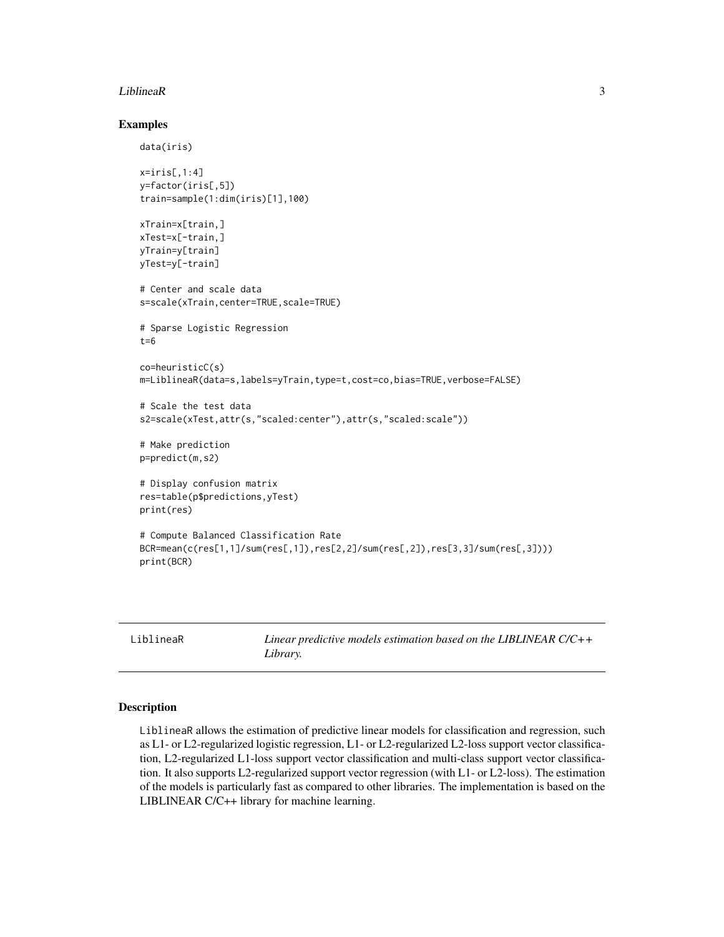#### <span id="page-2-0"></span>LiblineaR 3

#### Examples

data(iris)

```
x=iris[,1:4]y=factor(iris[,5])
train=sample(1:dim(iris)[1],100)
xTrain=x[train,]
xTest=x[-train,]
yTrain=y[train]
yTest=y[-train]
# Center and scale data
s=scale(xTrain,center=TRUE,scale=TRUE)
# Sparse Logistic Regression
t=6co=heuristicC(s)
m=LiblineaR(data=s,labels=yTrain,type=t,cost=co,bias=TRUE,verbose=FALSE)
# Scale the test data
s2=scale(xTest,attr(s,"scaled:center"),attr(s,"scaled:scale"))
# Make prediction
p=predict(m,s2)
# Display confusion matrix
res=table(p$predictions,yTest)
print(res)
# Compute Balanced Classification Rate
BCR=mean(c(res[1,1]/sum(res[,1]),res[2,2]/sum(res[,2]),res[3,3]/sum(res[,3])))
print(BCR)
```
<span id="page-2-1"></span>LiblineaR *Linear predictive models estimation based on the LIBLINEAR C/C++ Library.*

#### Description

LiblineaR allows the estimation of predictive linear models for classification and regression, such as L1- or L2-regularized logistic regression, L1- or L2-regularized L2-loss support vector classification, L2-regularized L1-loss support vector classification and multi-class support vector classification. It also supports L2-regularized support vector regression (with L1- or L2-loss). The estimation of the models is particularly fast as compared to other libraries. The implementation is based on the LIBLINEAR C/C++ library for machine learning.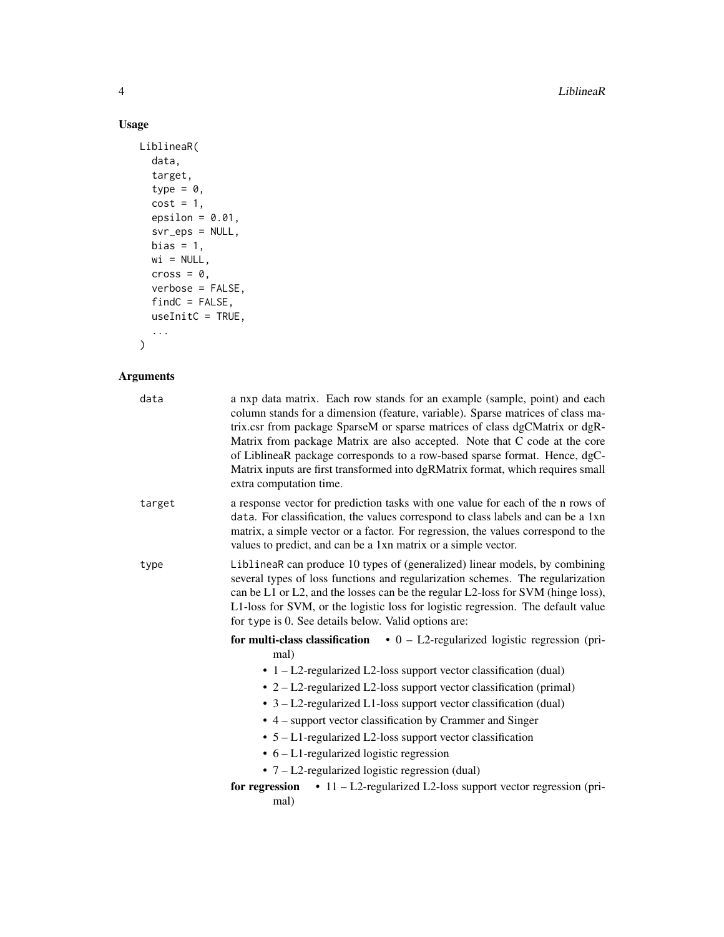4 LiblineaR

#### Usage

```
LiblineaR(
  data,
  target,
  type = \theta,
  cost = 1,epsilon = 0.01,
  svr_eps = NULL,
  bias = 1,
  wi = NULL,cross = 0,
  verbose = FALSE,
  findC = FALSE,useInitC = TRUE,
  ...
```
)

### Arguments

| data   | a nxp data matrix. Each row stands for an example (sample, point) and each<br>column stands for a dimension (feature, variable). Sparse matrices of class ma-<br>trix.csr from package SparseM or sparse matrices of class dgCMatrix or dgR-<br>Matrix from package Matrix are also accepted. Note that C code at the core<br>of LiblineaR package corresponds to a row-based sparse format. Hence, dgC-<br>Matrix inputs are first transformed into dgRMatrix format, which requires small<br>extra computation time.                                                                                                                                                  |
|--------|-------------------------------------------------------------------------------------------------------------------------------------------------------------------------------------------------------------------------------------------------------------------------------------------------------------------------------------------------------------------------------------------------------------------------------------------------------------------------------------------------------------------------------------------------------------------------------------------------------------------------------------------------------------------------|
| target | a response vector for prediction tasks with one value for each of the n rows of<br>data. For classification, the values correspond to class labels and can be a 1xn<br>matrix, a simple vector or a factor. For regression, the values correspond to the<br>values to predict, and can be a 1xn matrix or a simple vector.                                                                                                                                                                                                                                                                                                                                              |
| type   | LiblineaR can produce 10 types of (generalized) linear models, by combining<br>several types of loss functions and regularization schemes. The regularization<br>can be L1 or L2, and the losses can be the regular L2-loss for SVM (hinge loss),<br>L1-loss for SVM, or the logistic loss for logistic regression. The default value<br>for type is 0. See details below. Valid options are:                                                                                                                                                                                                                                                                           |
|        | for multi-class classification $\bullet$ 0 – L2-regularized logistic regression (pri-<br>mal)<br>$\cdot$ 1 – L2-regularized L2-loss support vector classification (dual)<br>• 2 – L2-regularized L2-loss support vector classification (primal)<br>$\bullet$ 3 – L2-regularized L1-loss support vector classification (dual)<br>• 4 – support vector classification by Crammer and Singer<br>$\bullet$ 5 – L1-regularized L2-loss support vector classification<br>$\bullet$ 6 – L1-regularized logistic regression<br>• $7 - L2$ -regularized logistic regression (dual)<br>for regression $\cdot$ 11 - L2-regularized L2-loss support vector regression (pri-<br>mal) |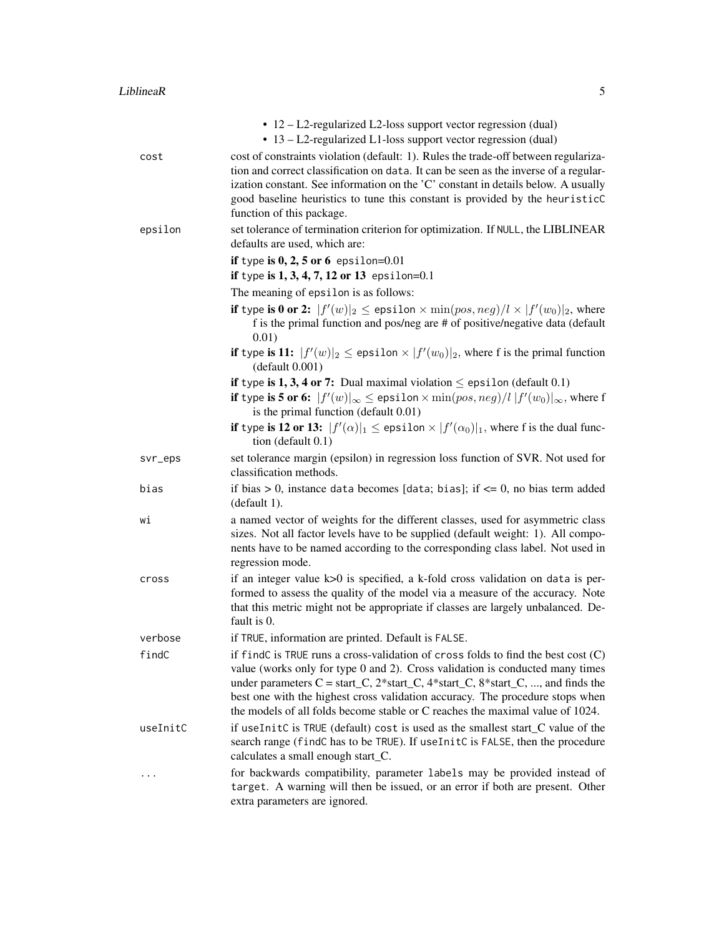|          | • 12 – L2-regularized L2-loss support vector regression (dual)<br>• 13 – L2-regularized L1-loss support vector regression (dual)                                                                                                                                                                                                                                                                                                      |
|----------|---------------------------------------------------------------------------------------------------------------------------------------------------------------------------------------------------------------------------------------------------------------------------------------------------------------------------------------------------------------------------------------------------------------------------------------|
| cost     | cost of constraints violation (default: 1). Rules the trade-off between regulariza-<br>tion and correct classification on data. It can be seen as the inverse of a regular-<br>ization constant. See information on the 'C' constant in details below. A usually<br>good baseline heuristics to tune this constant is provided by the heuristicC<br>function of this package.                                                         |
| epsilon  | set tolerance of termination criterion for optimization. If NULL, the LIBLINEAR<br>defaults are used, which are:                                                                                                                                                                                                                                                                                                                      |
|          | if type is $0, 2, 5$ or $6$ epsilon=0.01                                                                                                                                                                                                                                                                                                                                                                                              |
|          | if type is $1, 3, 4, 7, 12$ or 13 epsilon=0.1                                                                                                                                                                                                                                                                                                                                                                                         |
|          | The meaning of epsilon is as follows:                                                                                                                                                                                                                                                                                                                                                                                                 |
|          | <b>if</b> type is 0 or 2: $ f'(w) _2 \le$ epsilon $\times$ min $(pos, neg)/l \times  f'(w_0) _2$ , where<br>f is the primal function and pos/neg are # of positive/negative data (default<br>0.01)                                                                                                                                                                                                                                    |
|          | <b>if</b> type is 11: $ f'(w) _2 \le$ epsilon $\times  f'(w_0) _2$ , where f is the primal function<br>(default 0.001)                                                                                                                                                                                                                                                                                                                |
|          | if type is 1, 3, 4 or 7: Dual maximal violation $\leq$ epsilon (default 0.1)                                                                                                                                                                                                                                                                                                                                                          |
|          | if type is 5 or 6: $ f'(w) _{\infty} \leq$ epsilon $\times$ min $(pos, neg)/l  f'(w_0) _{\infty}$ , where f<br>is the primal function (default 0.01)                                                                                                                                                                                                                                                                                  |
|          | if type is 12 or 13: $ f'(\alpha) _1 \leq$ epsilon $\times  f'(\alpha_0) _1$ , where f is the dual func-<br>tion (default $0.1$ )                                                                                                                                                                                                                                                                                                     |
| svr_eps  | set tolerance margin (epsilon) in regression loss function of SVR. Not used for<br>classification methods.                                                                                                                                                                                                                                                                                                                            |
| bias     | if bias > 0, instance data becomes [data; bias]; if $\leq$ 0, no bias term added<br>(default 1).                                                                                                                                                                                                                                                                                                                                      |
| Wĺ       | a named vector of weights for the different classes, used for asymmetric class<br>sizes. Not all factor levels have to be supplied (default weight: 1). All compo-<br>nents have to be named according to the corresponding class label. Not used in<br>regression mode.                                                                                                                                                              |
| cross    | if an integer value k>0 is specified, a k-fold cross validation on data is per-<br>formed to assess the quality of the model via a measure of the accuracy. Note<br>that this metric might not be appropriate if classes are largely unbalanced. De-<br>fault is 0.                                                                                                                                                                   |
| verbose  | if TRUE, information are printed. Default is FALSE.                                                                                                                                                                                                                                                                                                                                                                                   |
| findC    | if find C is TRUE runs a cross-validation of cross folds to find the best cost $(C)$<br>value (works only for type 0 and 2). Cross validation is conducted many times<br>under parameters $C = start_C$ , $2*start_C$ , $4*start_C$ , $8*start_C$ , , and finds the<br>best one with the highest cross validation accuracy. The procedure stops when<br>the models of all folds become stable or C reaches the maximal value of 1024. |
| useInitC | if useInitC is TRUE (default) cost is used as the smallest start_C value of the<br>search range (findC has to be TRUE). If useInitC is FALSE, then the procedure<br>calculates a small enough start_C.                                                                                                                                                                                                                                |
|          | for backwards compatibility, parameter labels may be provided instead of<br>target. A warning will then be issued, or an error if both are present. Other<br>extra parameters are ignored.                                                                                                                                                                                                                                            |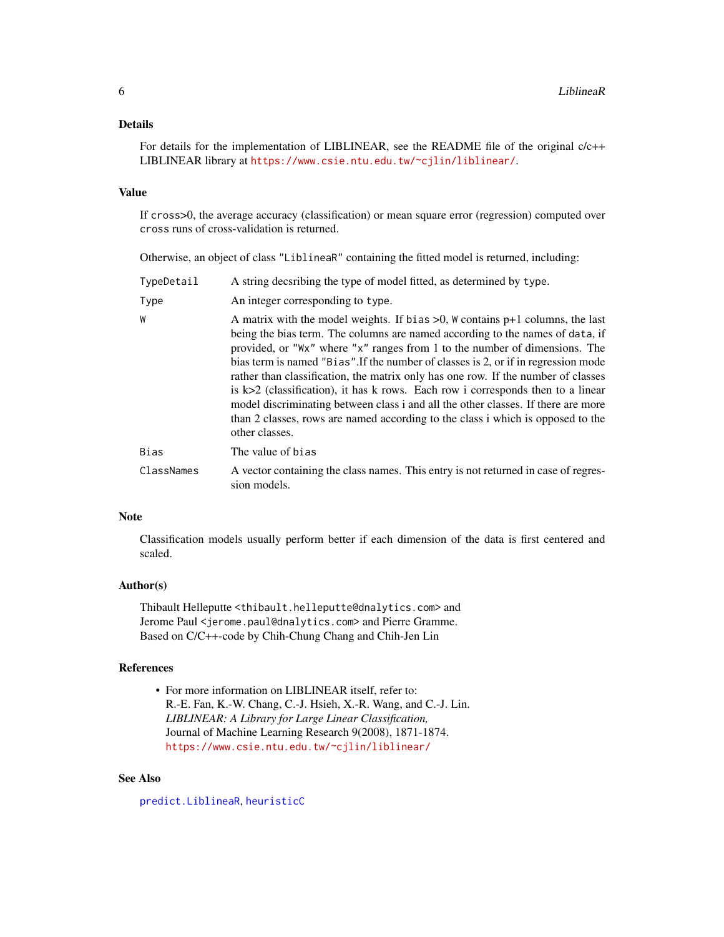#### <span id="page-5-0"></span>Details

For details for the implementation of LIBLINEAR, see the README file of the original  $c/c++$ LIBLINEAR library at <https://www.csie.ntu.edu.tw/~cjlin/liblinear/>.

#### Value

If cross>0, the average accuracy (classification) or mean square error (regression) computed over cross runs of cross-validation is returned.

Otherwise, an object of class "LiblineaR" containing the fitted model is returned, including:

| TypeDetail | A string decsribing the type of model fitted, as determined by type.                                                                                                                                                                                                                                                                                                                                                                                                                                                                                                                                                                                                                                        |
|------------|-------------------------------------------------------------------------------------------------------------------------------------------------------------------------------------------------------------------------------------------------------------------------------------------------------------------------------------------------------------------------------------------------------------------------------------------------------------------------------------------------------------------------------------------------------------------------------------------------------------------------------------------------------------------------------------------------------------|
| Type       | An integer corresponding to type.                                                                                                                                                                                                                                                                                                                                                                                                                                                                                                                                                                                                                                                                           |
| W          | A matrix with the model weights. If bias $>0$ , W contains $p+1$ columns, the last<br>being the bias term. The columns are named according to the names of data, if<br>provided, or "Wx" where "x" ranges from 1 to the number of dimensions. The<br>bias term is named "Bias". If the number of classes is 2, or if in regression mode<br>rather than classification, the matrix only has one row. If the number of classes<br>is $k>2$ (classification), it has k rows. Each row i corresponds then to a linear<br>model discriminating between class i and all the other classes. If there are more<br>than 2 classes, rows are named according to the class i which is opposed to the<br>other classes. |
| Bias       | The value of bias                                                                                                                                                                                                                                                                                                                                                                                                                                                                                                                                                                                                                                                                                           |
| ClassNames | A vector containing the class names. This entry is not returned in case of regres-<br>sion models.                                                                                                                                                                                                                                                                                                                                                                                                                                                                                                                                                                                                          |

#### Note

Classification models usually perform better if each dimension of the data is first centered and scaled.

#### Author(s)

Thibault Helleputte <thibault.helleputte@dnalytics.com> and Jerome Paul <jerome.paul@dnalytics.com> and Pierre Gramme. Based on C/C++-code by Chih-Chung Chang and Chih-Jen Lin

#### References

• For more information on LIBLINEAR itself, refer to: R.-E. Fan, K.-W. Chang, C.-J. Hsieh, X.-R. Wang, and C.-J. Lin. *LIBLINEAR: A Library for Large Linear Classification,* Journal of Machine Learning Research 9(2008), 1871-1874. <https://www.csie.ntu.edu.tw/~cjlin/liblinear/>

#### See Also

[predict.LiblineaR](#page-8-1), [heuristicC](#page-1-1)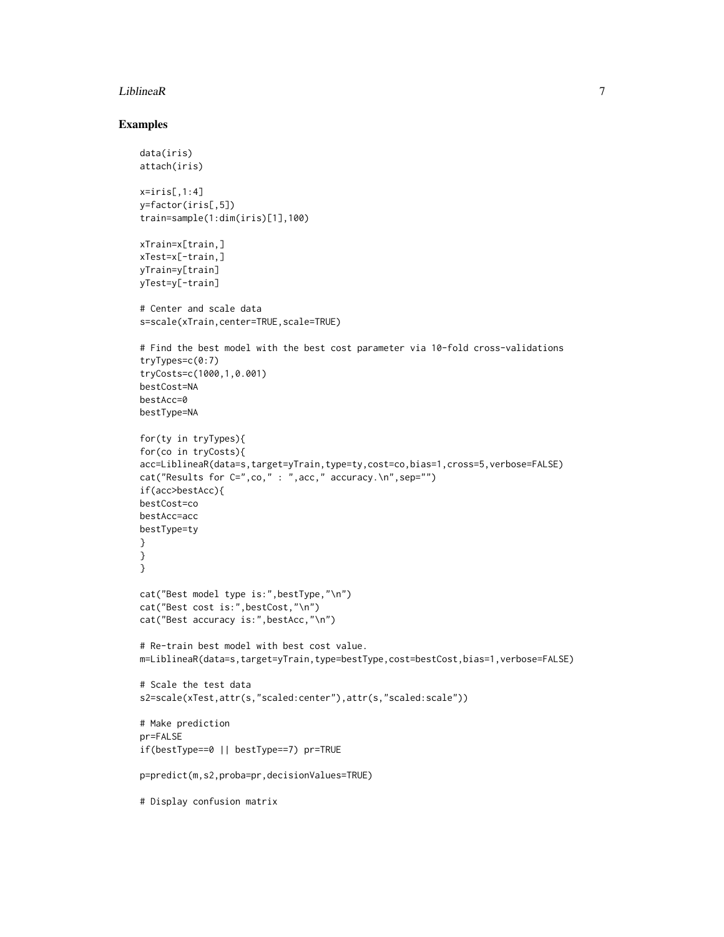#### LiblineaR 7

#### Examples

```
data(iris)
attach(iris)
x=iris[,1:4]
y=factor(iris[,5])
train=sample(1:dim(iris)[1],100)
xTrain=x[train,]
xTest=x[-train,]
yTrain=y[train]
yTest=y[-train]
# Center and scale data
s=scale(xTrain,center=TRUE,scale=TRUE)
# Find the best model with the best cost parameter via 10-fold cross-validations
tryTypes=c(0:7)
tryCosts=c(1000,1,0.001)
bestCost=NA
bestAcc=0
bestType=NA
for(ty in tryTypes){
for(co in tryCosts){
acc=LiblineaR(data=s,target=yTrain,type=ty,cost=co,bias=1,cross=5,verbose=FALSE)
cat("Results for C=",co," : ",acc," accuracy.\n",sep="")
if(acc>bestAcc){
bestCost=co
bestAcc=acc
bestType=ty
}
}
}
cat("Best model type is:",bestType,"\n")
cat("Best cost is:",bestCost,"\n")
cat("Best accuracy is:",bestAcc,"\n")
# Re-train best model with best cost value.
m=LiblineaR(data=s,target=yTrain,type=bestType,cost=bestCost,bias=1,verbose=FALSE)
# Scale the test data
s2=scale(xTest,attr(s,"scaled:center"),attr(s,"scaled:scale"))
# Make prediction
pr=FALSE
if(bestType==0 || bestType==7) pr=TRUE
p=predict(m,s2,proba=pr,decisionValues=TRUE)
# Display confusion matrix
```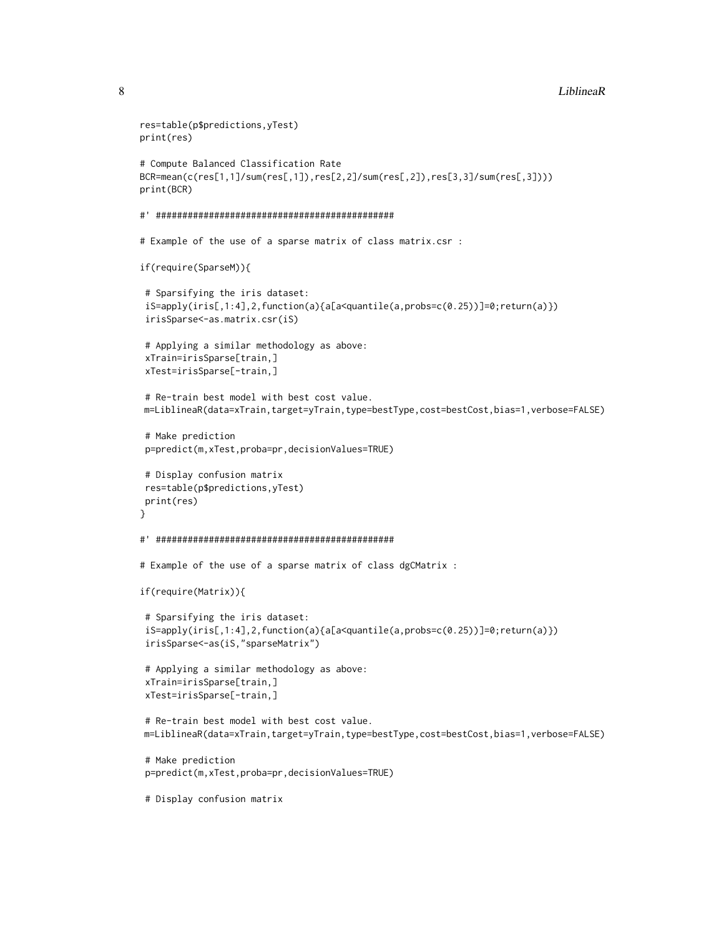#### 8 **S Liblinear Example 1 C Library Example 1 C Liblinear Example 1 C Liblinear Example 1 C Liblinear**

```
res=table(p$predictions,yTest)
print(res)
# Compute Balanced Classification Rate
BCR=mean(c(res[1,1]/sum(res[,1]),res[2,2]/sum(res[,2]),res[3,3]/sum(res[,3])))
print(BCR)
#' #############################################
# Example of the use of a sparse matrix of class matrix.csr :
if(require(SparseM)){
 # Sparsifying the iris dataset:
 iS=apply(iris[,1:4],2,function(a){a[a<quantile(a,probs=c(0.25))]=0;return(a)})
 irisSparse<-as.matrix.csr(iS)
 # Applying a similar methodology as above:
 xTrain=irisSparse[train,]
 xTest=irisSparse[-train,]
 # Re-train best model with best cost value.
m=LiblineaR(data=xTrain,target=yTrain,type=bestType,cost=bestCost,bias=1,verbose=FALSE)
 # Make prediction
p=predict(m,xTest,proba=pr,decisionValues=TRUE)
# Display confusion matrix
res=table(p$predictions,yTest)
print(res)
}
#' #############################################
# Example of the use of a sparse matrix of class dgCMatrix :
if(require(Matrix)){
 # Sparsifying the iris dataset:
 iS=apply(iris[,1:4],2,function(a){a[a<quantile(a,probs=c(0.25))]=0;return(a)})
 irisSparse<-as(iS,"sparseMatrix")
 # Applying a similar methodology as above:
 xTrain=irisSparse[train,]
 xTest=irisSparse[-train,]
 # Re-train best model with best cost value.
m=LiblineaR(data=xTrain,target=yTrain,type=bestType,cost=bestCost,bias=1,verbose=FALSE)
 # Make prediction
 p=predict(m,xTest,proba=pr,decisionValues=TRUE)
```
# Display confusion matrix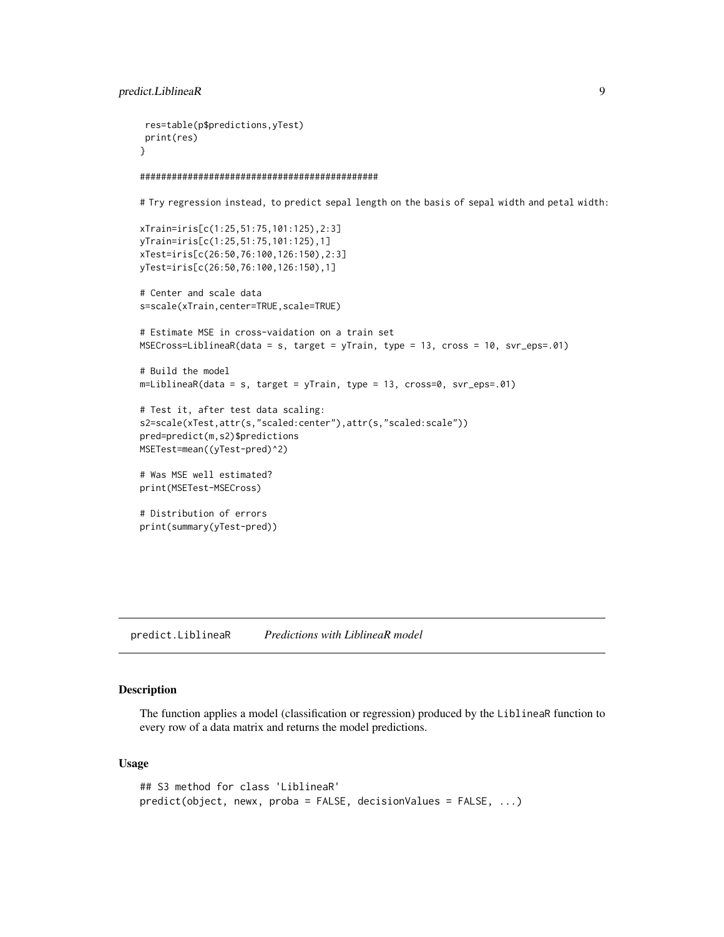```
res=table(p$predictions,yTest)
print(res)
}
#############################################
# Try regression instead, to predict sepal length on the basis of sepal width and petal width:
xTrain=iris[c(1:25,51:75,101:125),2:3]
yTrain=iris[c(1:25,51:75,101:125),1]
xTest=iris[c(26:50,76:100,126:150),2:3]
yTest=iris[c(26:50,76:100,126:150),1]
```

```
# Center and scale data
s=scale(xTrain,center=TRUE,scale=TRUE)
```

```
# Estimate MSE in cross-vaidation on a train set
MSECross=LiblineaR(data = s, target = yTrain, type = 13, cross = 10, svr_eps=.01)
```

```
# Build the model
m=LiblineaR(data = s, target = yTrain, type = 13, cross=0, svr_eps=.01)
```

```
# Test it, after test data scaling:
s2=scale(xTest,attr(s,"scaled:center"),attr(s,"scaled:scale"))
pred=predict(m,s2)$predictions
MSETest=mean((yTest-pred)^2)
```

```
# Was MSE well estimated?
print(MSETest-MSECross)
```

```
# Distribution of errors
print(summary(yTest-pred))
```
<span id="page-8-1"></span>predict.LiblineaR *Predictions with LiblineaR model*

#### Description

The function applies a model (classification or regression) produced by the LiblineaR function to every row of a data matrix and returns the model predictions.

#### Usage

```
## S3 method for class 'LiblineaR'
predict(object, newx, proba = FALSE, decisionValues = FALSE, ...)
```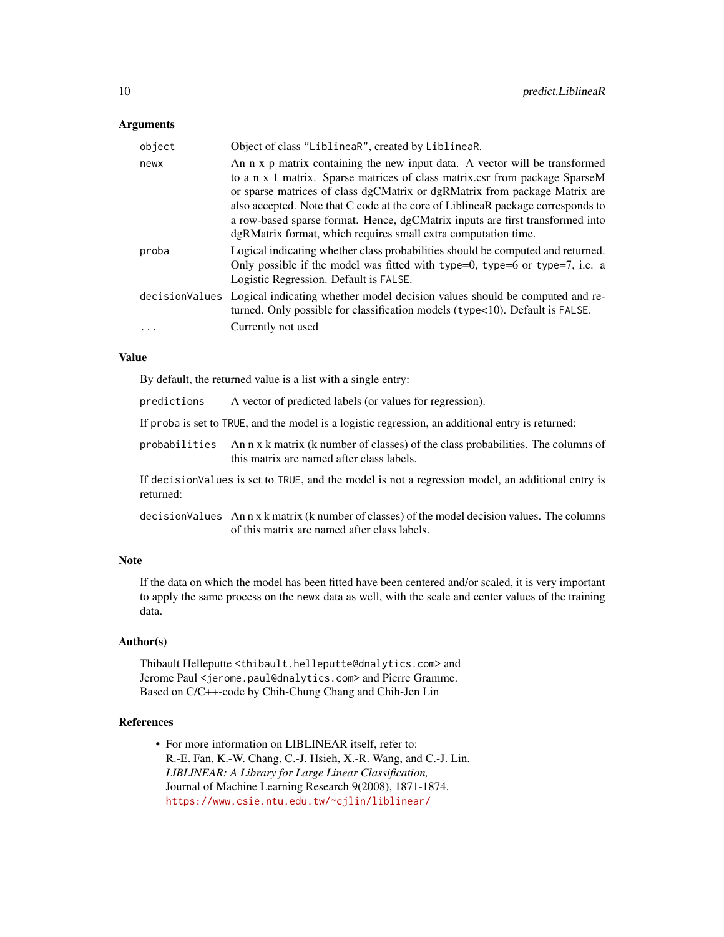#### Arguments

| Object of class "LiblineaR", created by LiblineaR.                                                                                                                                                                                                                                                                                                                                                                                                                             |
|--------------------------------------------------------------------------------------------------------------------------------------------------------------------------------------------------------------------------------------------------------------------------------------------------------------------------------------------------------------------------------------------------------------------------------------------------------------------------------|
| An n x p matrix containing the new input data. A vector will be transformed<br>to a n x 1 matrix. Sparse matrices of class matrix csr from package SparseM<br>or sparse matrices of class dgCMatrix or dgRMatrix from package Matrix are<br>also accepted. Note that C code at the core of LiblineaR package corresponds to<br>a row-based sparse format. Hence, dgCMatrix inputs are first transformed into<br>dgRMatrix format, which requires small extra computation time. |
| Logical indicating whether class probabilities should be computed and returned.<br>Only possible if the model was fitted with type=0, type=6 or type=7, i.e. a<br>Logistic Regression. Default is FALSE.                                                                                                                                                                                                                                                                       |
| decision Values Logical indicating whether model decision values should be computed and re-<br>turned. Only possible for classification models $(type<10)$ . Default is FALSE.<br>Currently not used                                                                                                                                                                                                                                                                           |
|                                                                                                                                                                                                                                                                                                                                                                                                                                                                                |

#### Value

By default, the returned value is a list with a single entry:

- If proba is set to TRUE, and the model is a logistic regression, an additional entry is returned:
- probabilities An n x k matrix (k number of classes) of the class probabilities. The columns of this matrix are named after class labels.

If decisionValues is set to TRUE, and the model is not a regression model, an additional entry is returned:

decisionValues An n x k matrix (k number of classes) of the model decision values. The columns of this matrix are named after class labels.

#### Note

If the data on which the model has been fitted have been centered and/or scaled, it is very important to apply the same process on the newx data as well, with the scale and center values of the training data.

#### Author(s)

Thibault Helleputte <thibault.helleputte@dnalytics.com> and Jerome Paul <jerome.paul@dnalytics.com> and Pierre Gramme. Based on C/C++-code by Chih-Chung Chang and Chih-Jen Lin

#### References

• For more information on LIBLINEAR itself, refer to: R.-E. Fan, K.-W. Chang, C.-J. Hsieh, X.-R. Wang, and C.-J. Lin. *LIBLINEAR: A Library for Large Linear Classification,* Journal of Machine Learning Research 9(2008), 1871-1874. <https://www.csie.ntu.edu.tw/~cjlin/liblinear/>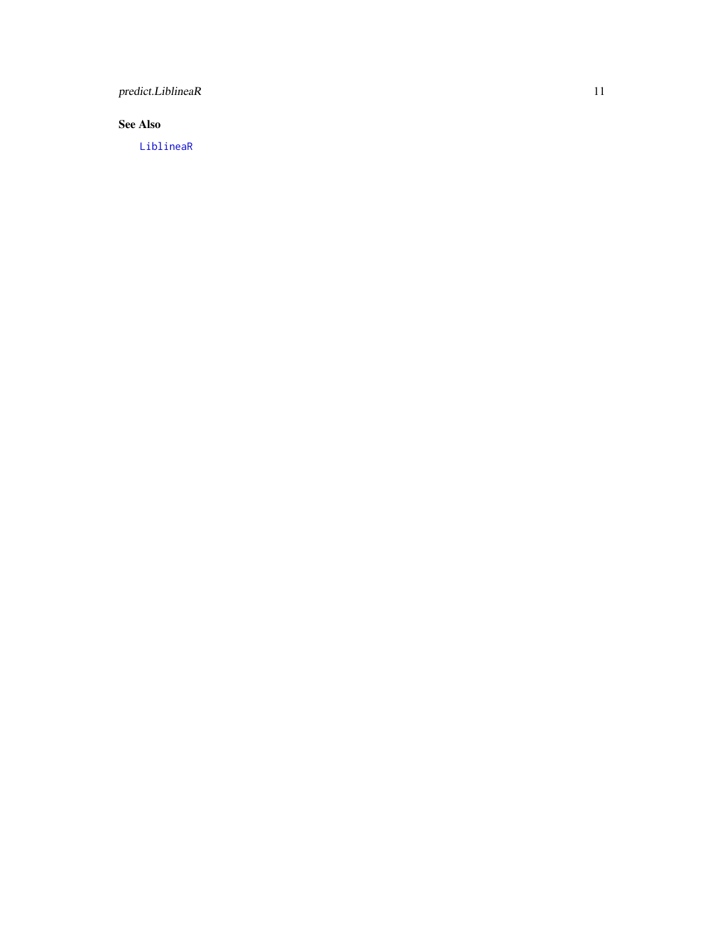<span id="page-10-0"></span>predict.LiblineaR 11

#### See Also

[LiblineaR](#page-2-1)